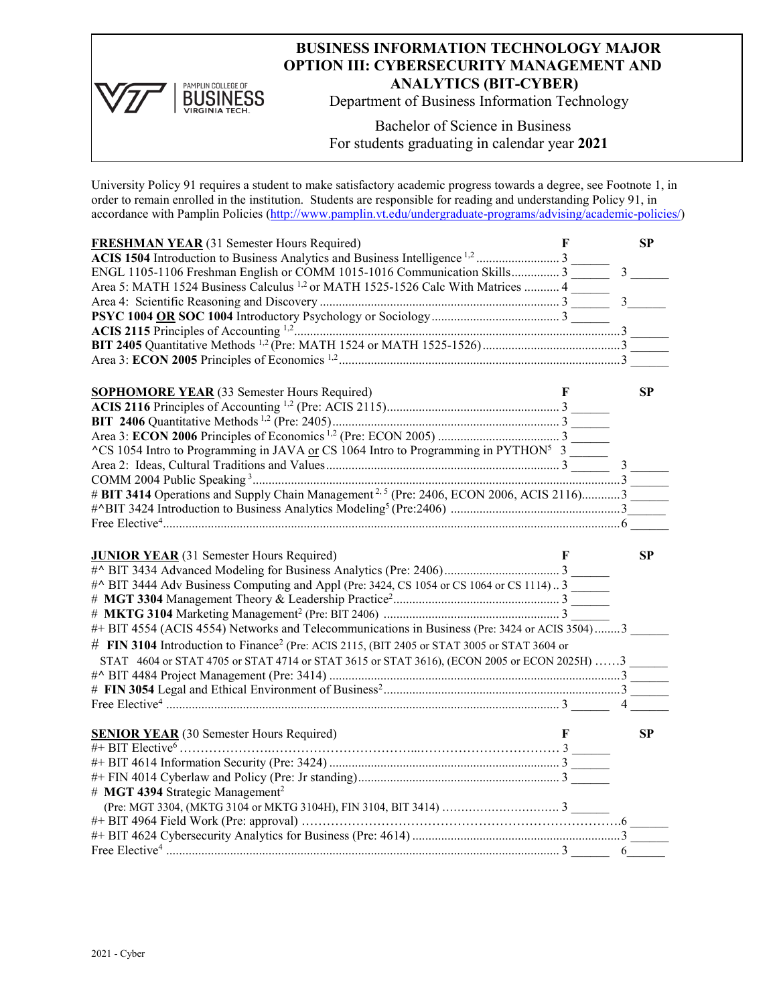

## **BUSINESS INFORMATION TECHNOLOGY MAJOR OPTION III: CYBERSECURITY MANAGEMENT AND ANALYTICS (BIT-CYBER)**

Department of Business Information Technology

Bachelor of Science in Business For students graduating in calendar year **2021**

University Policy 91 requires a student to make satisfactory academic progress towards a degree, see Footnote 1, in order to remain enrolled in the institution. Students are responsible for reading and understanding Policy 91, in accordance with Pamplin Policies [\(http://www.pamplin.vt.edu/undergraduate-programs/advising/academic-policies/\)](http://www.pamplin.vt.edu/undergraduate-programs/advising/academic-policies/)

| <b>FRESHMAN YEAR (31 Semester Hours Required)</b>                                                       | F | SP             |
|---------------------------------------------------------------------------------------------------------|---|----------------|
|                                                                                                         |   |                |
| ENGL 1105-1106 Freshman English or COMM 1015-1016 Communication Skills 3                                |   | $\overline{3}$ |
| Area 5: MATH 1524 Business Calculus <sup>1,2</sup> or MATH 1525-1526 Calc With Matrices  4              |   |                |
|                                                                                                         |   | $\mathbf{3}$   |
|                                                                                                         |   |                |
|                                                                                                         |   |                |
|                                                                                                         |   |                |
|                                                                                                         |   |                |
|                                                                                                         |   |                |
| <b>SOPHOMORE YEAR</b> (33 Semester Hours Required)                                                      | F | <b>SP</b>      |
|                                                                                                         |   |                |
|                                                                                                         |   |                |
|                                                                                                         |   |                |
| $\text{C}$ S 1054 Intro to Programming in JAVA or CS 1064 Intro to Programming in PYTHON <sup>5</sup> 3 |   |                |
|                                                                                                         |   |                |
|                                                                                                         |   |                |
| # BIT 3414 Operations and Supply Chain Management <sup>2,5</sup> (Pre: 2406, ECON 2006, ACIS 2116)3     |   |                |
|                                                                                                         |   |                |
|                                                                                                         |   |                |
|                                                                                                         |   |                |
|                                                                                                         |   |                |
|                                                                                                         |   |                |
| <b>JUNIOR YEAR</b> (31 Semester Hours Required)                                                         | F | <b>SP</b>      |
|                                                                                                         |   |                |
|                                                                                                         |   |                |
| #^ BIT 3444 Adv Business Computing and Appl (Pre: 3424, CS 1054 or CS 1064 or CS 1114) 3                |   |                |
|                                                                                                         |   |                |
|                                                                                                         |   |                |
| #+ BIT 4554 (ACIS 4554) Networks and Telecommunications in Business (Pre: 3424 or ACIS 3504)3           |   |                |
| # FIN 3104 Introduction to Finance <sup>2</sup> (Pre: ACIS 2115, (BIT 2405 or STAT 3005 or STAT 3604 or |   |                |
| STAT 4604 or STAT 4705 or STAT 4714 or STAT 3615 or STAT 3616), (ECON 2005 or ECON 2025H) 3             |   |                |
|                                                                                                         |   |                |
|                                                                                                         |   |                |
|                                                                                                         |   | $\overline{4}$ |
|                                                                                                         |   |                |
| <b>SENIOR YEAR</b> (30 Semester Hours Required)                                                         | F | <b>SP</b>      |
|                                                                                                         |   |                |
|                                                                                                         |   |                |
|                                                                                                         |   |                |
| # MGT 4394 Strategic Management <sup>2</sup>                                                            |   |                |
|                                                                                                         |   |                |
|                                                                                                         |   |                |
|                                                                                                         |   |                |